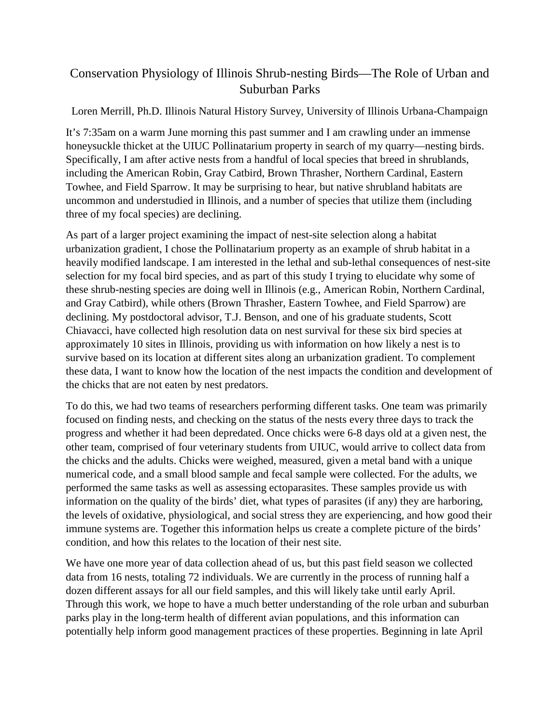## Conservation Physiology of Illinois Shrub-nesting Birds—The Role of Urban and Suburban Parks

## Loren Merrill, Ph.D. Illinois Natural History Survey, University of Illinois Urbana-Champaign

It's 7:35am on a warm June morning this past summer and I am crawling under an immense honeysuckle thicket at the UIUC Pollinatarium property in search of my quarry—nesting birds. Specifically, I am after active nests from a handful of local species that breed in shrublands, including the American Robin, Gray Catbird, Brown Thrasher, Northern Cardinal, Eastern Towhee, and Field Sparrow. It may be surprising to hear, but native shrubland habitats are uncommon and understudied in Illinois, and a number of species that utilize them (including three of my focal species) are declining.

As part of a larger project examining the impact of nest-site selection along a habitat urbanization gradient, I chose the Pollinatarium property as an example of shrub habitat in a heavily modified landscape. I am interested in the lethal and sub-lethal consequences of nest-site selection for my focal bird species, and as part of this study I trying to elucidate why some of these shrub-nesting species are doing well in Illinois (e.g., American Robin, Northern Cardinal, and Gray Catbird), while others (Brown Thrasher, Eastern Towhee, and Field Sparrow) are declining. My postdoctoral advisor, T.J. Benson, and one of his graduate students, Scott Chiavacci, have collected high resolution data on nest survival for these six bird species at approximately 10 sites in Illinois, providing us with information on how likely a nest is to survive based on its location at different sites along an urbanization gradient. To complement these data, I want to know how the location of the nest impacts the condition and development of the chicks that are not eaten by nest predators.

To do this, we had two teams of researchers performing different tasks. One team was primarily focused on finding nests, and checking on the status of the nests every three days to track the progress and whether it had been depredated. Once chicks were 6-8 days old at a given nest, the other team, comprised of four veterinary students from UIUC, would arrive to collect data from the chicks and the adults. Chicks were weighed, measured, given a metal band with a unique numerical code, and a small blood sample and fecal sample were collected. For the adults, we performed the same tasks as well as assessing ectoparasites. These samples provide us with information on the quality of the birds' diet, what types of parasites (if any) they are harboring, the levels of oxidative, physiological, and social stress they are experiencing, and how good their immune systems are. Together this information helps us create a complete picture of the birds' condition, and how this relates to the location of their nest site.

We have one more year of data collection ahead of us, but this past field season we collected data from 16 nests, totaling 72 individuals. We are currently in the process of running half a dozen different assays for all our field samples, and this will likely take until early April. Through this work, we hope to have a much better understanding of the role urban and suburban parks play in the long-term health of different avian populations, and this information can potentially help inform good management practices of these properties. Beginning in late April